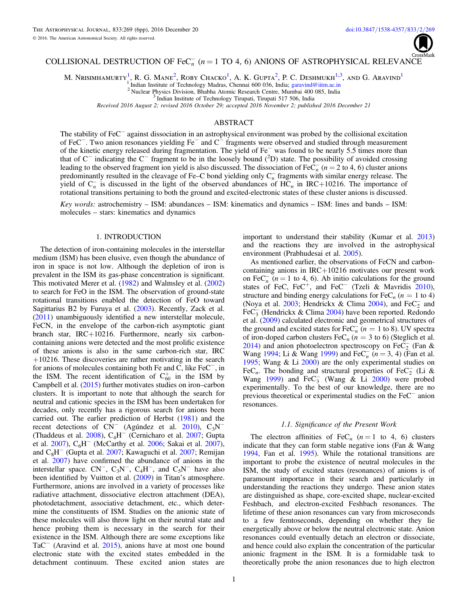

# COLLISIONAL DESTRUCTION OF  $\text{FeC}_n^-$  ( $n = 1$  TO 4, 6) ANIONS OF ASTROPHYSICAL RELEVANCE

M. NRISIMHAMURTY<sup>1</sup>, R. G. MANE<sup>2</sup>, ROBY CHACKO<sup>1</sup>, A. K. GUPTA<sup>2</sup>, P. C. DESHMUKH<sup>1,3</sup>, AND G. ARAVIND<sup>1</sup>

Indian Institute of Technology Madras, Chennai 600 036, India; garavind@iitm.ac.in

<sup>2</sup> Nuclear Physics Division, Bhabha Atomic Research Centre, Mumbai 400 085, India

<sup>3</sup> Indian Institute of Technology Tirupati, Tirupati 517 506, India

*Received 2016 August 2; revised 2016 October 29; accepted 2016 November 2; published 2016 December 21*

## ABSTRACT

The stability of FeC<sup>-</sup> against dissociation in an astrophysical environment was probed by the collisional excitation of FeC<sup>−</sup> . Two anion resonances yielding Fe<sup>−</sup> and C<sup>−</sup> fragments were observed and studied through measurement of the kinetic energy released during fragmentation. The yield of Fe<sup>−</sup> was found to be nearly 5.5 times more than that of C<sup>−</sup> indicating the C<sup>−</sup> fragment to be in the loosely bound (<sup>2</sup>D) state. The possibility of avoided crossing leading to the observed fragment ion yield is also discussed. The dissociation of  $\text{FeC}_n^-$  ( $n = 2$  to 4, 6) cluster anions predominantly resulted in the cleavage of Fe–C bond yielding only  $C_n^-$  fragments with similar energy release. The yield of  $C_n^-$  is discussed in the light of the observed abundances of  $HC_n$  in IRC+10216. The importance of rotational transitions pertaining to both the ground and excited-electronic states of these cluster anions is discussed.

*Key words:* astrochemistry – ISM: abundances – ISM: kinematics and dynamics – ISM: lines and bands – ISM: molecules – stars: kinematics and dynamics

## 1. INTRODUCTION

The detection of iron-containing molecules in the interstellar medium (ISM) has been elusive, even though the abundance of iron in space is not low. Although the depletion of iron is prevalent in the ISM its gas-phase concentration is significant. This motivated Merer et al. (1982) and Walmsley et al. (2002) to search for FeO in the ISM. The observation of ground-state rotational transitions enabled the detection of FeO toward Sagittarius B2 by Furuya et al. (2003). Recently, Zack et al. (2011) unambiguously identified a new interstellar molecule, FeCN, in the envelope of the carbon-rich asymptotic giant branch star, IRC+10216. Furthermore, nearly six carboncontaining anions were detected and the most prolific existence of these anions is also in the same carbon-rich star, IRC  $+10216$ . These discoveries are rather motivating in the search for anions of molecules containing both Fe and C, like FeC<sup>−</sup>, in the ISM. The recent identification of  $C_{60}^+$  in the ISM by Campbell et al. (2015) further motivates studies on iron–carbon clusters. It is important to note that although the search for neutral and cationic species in the ISM has been undertaken for decades, only recently has a rigorous search for anions been carried out. The earlier prediction of Herbst  $(1981)$  and the etanted out. The cannot predicted on the rest (1991) and the recent detections of  $CN^-$  (Agúndez et al. 2010), C<sub>3</sub>N (Thaddeus et al. 2008),  $C_4H^-$  (Cernicharo et al. 2007; Gupta) et al. 2007), C<sub>6</sub>H<sup>-</sup> (McCarthy et al. 2006; Sakai et al. 2007), and  $C_8H^-$  (Gupta et al. 2007; Kawaguchi et al. 2007; Remijan et al. 2007) have confirmed the abundance of anions in the interstellar space.  $CN^-$ ,  $C_3N^-$ ,  $C_4H^-$ , and  $C_5N^-$  have also been identified by Vuitton et al. (2009) in Titan's atmosphere. Furthermore, anions are involved in a variety of processes like radiative attachment, dissociative electron attachment (DEA), photodetachment, associative detachment, etc., which determine the constituents of ISM. Studies on the anionic state of these molecules will also throw light on their neutral state and hence probing them is necessary in the search for their existence in the ISM. Although there are some exceptions like TaC<sup>−</sup> (Aravind et al. 2015), anions have at most one bound electronic state with the excited states embedded in the detachment continuum. These excited anion states are important to understand their stability (Kumar et al. 2013) and the reactions they are involved in the astrophysical environment (Prabhudesai et al. 2005).

As mentioned earlier, the observations of FeCN and carboncontaining anions in IRC+10216 motivates our present work on  $\text{FeC}_n^-$  ( $n = 1$  to 4, 6). Ab initio calculations for the ground states of FeC, FeC<sup>+</sup>, and FeC<sup>−</sup> (Tzeli & Mavridis 2010), structure and binding energy calculations for  $\text{FeC}_n$  ( $n = 1$  to 4) (Noya et al. 2003; Hendrickx & Clima 2004), and  $FeC_2^-$  and  $\text{FeC}_3^-$  (Hendrickx & Clima 2004) have been reported. Redondo et al. (2009) calculated electronic and geometrical structures of the ground and excited states for  $\text{FeC}_n$ <sup>-</sup> ( $n = 1$  to 8). UV spectra of iron-doped carbon clusters  $\text{FeC}_n$  ( $n = 3$  to 6) (Steglich et al. 2014) and anion photoelectron spectroscopy on FeC<sub>2</sub> (Fan & Wang 1994; Li & Wang 1999) and FeC<sub>n</sub>  $(n = 3, 4)$  (Fan et al. 1995; Wang & Li 2000) are the only experimental studies on FeC<sub>n</sub>. The bonding and structural properties of FeC<sub>2</sub> (Li & Wang 1999) and  $\text{FeC}_3^-$  (Wang & Li 2000) were probed experimentally. To the best of our knowledge, there are no previous theoretical or experimental studies on the FeC<sup>−</sup> anion resonances.

## *1.1. Signi*fi*cance of the Present Work*

The electron affinities of FeC<sub>n</sub> ( $n = 1$  to 4, 6) clusters indicate that they can form stable negative ions (Fan & Wang 1994, Fan et al. 1995). While the rotational transitions are important to probe the existence of neutral molecules in the ISM, the study of excited states (resonances) of anions is of paramount importance in their search and particularly in understanding the reactions they undergo. These anion states are distinguished as shape, core-excited shape, nuclear-excited Feshbach, and electron-excited Feshbach resonances. The lifetime of these anion resonances can vary from microseconds to a few femtoseconds, depending on whether they lie energetically above or below the neutral electronic state. Anion resonances could eventually detach an electron or dissociate, and hence could also explain the concentration of the particular anionic fragment in the ISM. It is a formidable task to theoretically probe the anion resonances due to high electron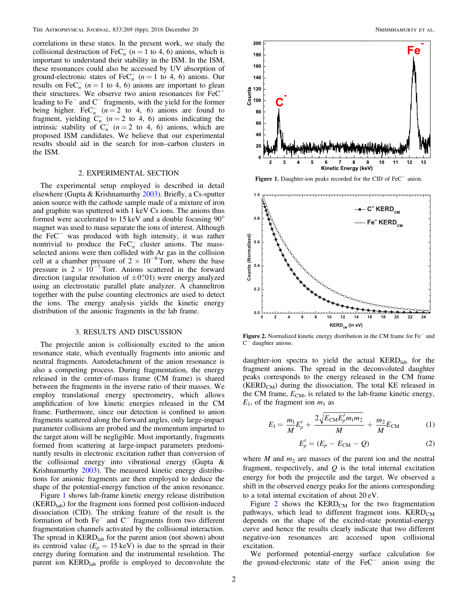correlations in these states. In the present work, we study the collisional destruction of FeC<sub>n</sub> ( $n = 1$  to 4, 6) anions, which is important to understand their stability in the ISM. In the ISM, these resonances could also be accessed by UV absorption of ground-electronic states of FeC<sub>n</sub> ( $n = 1$  to 4, 6) anions. Our results on FeC<sub>n</sub> ( $n = 1$  to 4, 6) anions are important to glean their structures. We observe two anion resonances for FeC<sup>−</sup> leading to Fe<sup>−</sup> and C<sup>−</sup> fragments, with the yield for the former being higher. FeC<sub>n</sub>  $(n=2 \text{ to } 4, 6)$  anions are found to fragment, yielding  $C_n^ (n=2 \text{ to } 4, 6)$  anions indicating the intrinsic stability of  $C_n^-$  ( $n = 2$  to 4, 6) anions, which are proposed ISM candidates. We believe that our experimental results should aid in the search for iron–carbon clusters in the ISM.

## 2. EXPERIMENTAL SECTION

The experimental setup employed is described in detail elsewhere (Gupta & Krishnamurthy 2003). Briefly, a Cs-sputter anion source with the cathode sample made of a mixture of iron and graphite was sputtered with 1 keV Cs ions. The anions thus formed were accelerated to 15 keV and a double focusing 90° magnet was used to mass separate the ions of interest. Although the FeC<sup>−</sup> was produced with high intensity, it was rather nontrivial to produce the  $\text{FeC}_n^-$  cluster anions. The massselected anions were then collided with Ar gas in the collision cell at a chamber pressure of  $2 \times 10^{-6}$  Torr, where the base pressure is  $2 \times 10^{-7}$  Torr. Anions scattered in the forward direction (angular resolution of  $\pm 0^\circ 0$ 1) were energy analyzed using an electrostatic parallel plate analyzer. A channeltron together with the pulse counting electronics are used to detect the ions. The energy analysis yields the kinetic energy distribution of the anionic fragments in the lab frame.

## 3. RESULTS AND DISCUSSION

The projectile anion is collisionally excited to the anion resonance state, which eventually fragments into anionic and neutral fragments. Autodetachment of the anion resonance is also a competing process. During fragmentation, the energy released in the center-of-mass frame (CM frame) is shared between the fragments in the inverse ratio of their masses. We employ translational energy spectrometry, which allows amplification of low kinetic energies released in the CM frame. Furthermore, since our detection is confined to anion fragments scattered along the forward angles, only large-impact parameter collisions are probed and the momentum imparted to the target atom will be negligible. Most importantly, fragments formed from scattering at large-impact parameters predominantly results in electronic excitation rather than conversion of the collisional energy into vibrational energy (Gupta & Krishnamurthy 2003). The measured kinetic energy distributions for anionic fragments are then employed to deduce the shape of the potential-energy function of the anion resonance.

Figure 1 shows lab-frame kinetic energy release distribution  $(KERD<sub>lab</sub>)$  for the fragment ions formed post collision-induced dissociation (CID). The striking feature of the result is the formation of both Fe<sup>−</sup> and C<sup>−</sup> fragments from two different fragmentation channels activated by the collisional interaction. The spread in  $\text{KERD}_{\text{lab}}$  for the parent anion (not shown) about its centroid value  $(E_p = 15 \text{ keV})$  is due to the spread in their energy during formation and the instrumental resolution. The parent ion KERD<sub>lab</sub> profile is employed to deconvolute the



Figure 1. Daughter-ion peaks recorded for the CID of FeC<sup>−</sup> anion.



Figure 2. Normalized kinetic energy distribution in the CM frame for Fe<sup>−</sup> and C − daughter anions.

daughter-ion spectra to yield the actual  $\text{KERD}_{lab}$  for the fragment anions. The spread in the deconvoluted daughter peaks corresponds to the energy released in the CM frame  $(KERD<sub>CM</sub>)$  during the dissociation. The total KE released in the CM frame,  $E_{CM}$ , is related to the lab-frame kinetic energy,  $E_1$ , of the fragment ion  $m_1$  as

$$
E_1 = \frac{m_1}{M} E'_p + \frac{2\sqrt{E_{\rm CM} E'_p m_1 m_2}}{M} + \frac{m_2}{M} E_{\rm CM}
$$
 (1)

$$
E'_p = (E_p - E_{\rm CM} - Q) \tag{2}
$$

where *M* and  $m_2$  are masses of the parent ion and the neutral fragment, respectively, and *Q* is the total internal excitation energy for both the projectile and the target. We observed a shift in the observed energy peaks for the anions corresponding to a total internal excitation of about 20 eV.

Figure 2 shows the  $\text{KERD}_{\text{CM}}$  for the two fragmentation pathways, which lead to different fragment ions.  $\text{KERD}_{\text{CM}}$ depends on the shape of the excited-state potential-energy curve and hence the results clearly indicate that two different negative-ion resonances are accessed upon collisional excitation.

We performed potential-energy surface calculation for the ground-electronic state of the FeC<sup>−</sup> anion using the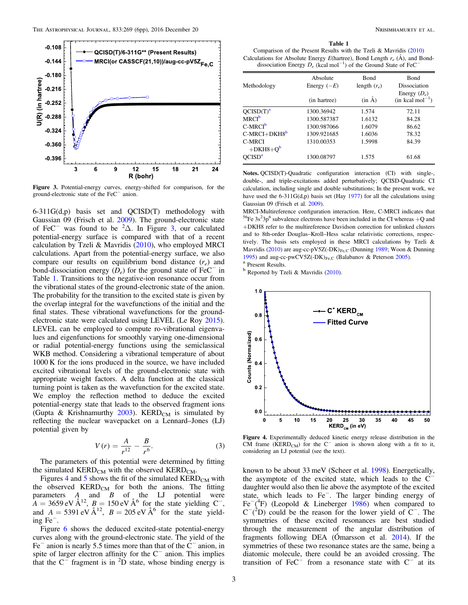

Figure 3. Potential-energy curves, energy-shifted for comparison, for the ground-electronic state of the FeC<sup>−</sup> anion.

 $6-311G(d,p)$  basis set and QCISD(T) methodology with Gaussian 09 (Frisch et al. 2009). The ground-electronic state of FeC<sup>−</sup> was found to be  ${}^{2}\Delta$ . In Figure 3, our calculated potential-energy surface is compared with that of a recent calculation by Tzeli & Mavridis (2010), who employed MRCI calculations. Apart from the potential-energy surface, we also compare our results on equilibrium bond distance (*r<sup>e</sup>* ) and bond-dissociation energy  $(D_e)$  for the ground state of FeC<sup>−</sup> in Table 1. Transitions to the negative-ion resonance occur from the vibrational states of the ground-electronic state of the anion. The probability for the transition to the excited state is given by the overlap integral for the wavefunctions of the initial and the final states. These vibrational wavefunctions for the groundelectronic state were calculated using LEVEL (Le Roy 2015). LEVEL can be employed to compute ro-vibrational eigenvalues and eigenfunctions for smoothly varying one-dimensional or radial potential-energy functions using the semiclassical WKB method. Considering a vibrational temperature of about 1000 K for the ions produced in the source, we have included excited vibrational levels of the ground-electronic state with appropriate weight factors. A delta function at the classical turning point is taken as the wavefunction for the excited state. We employ the reflection method to deduce the excited potential-energy state that leads to the observed fragment ions (Gupta & Krishnamurthy  $2003$ ). KERD<sub>CM</sub> is simulated by reflecting the nuclear wavepacket on a Lennard–Jones (LJ) potential given by

$$
V(r) = \frac{A}{r^{12}} - \frac{B}{r^6}.
$$
 (3)

The parameters of this potential were determined by fitting the simulated  $\text{KERD}_{\text{CM}}$  with the observed  $\text{KERD}_{\text{CM}}$ .

Figures 4 and 5 shows the fit of the simulated  $\text{KERD}_{CM}$  with the observed  $\text{KERD}_{\text{CM}}$  for both the anions. The fitting parameters *A* and *B* of the LJ potential were  $A = 3659 \text{ eV} \text{ Å}^{12}, B = 150 \text{ eV} \text{ Å}^{6}$  for the state yielding C<sup>−</sup>, and  $A = 5391 \text{ eV} \text{ Å}^{12}$ ,  $B = 205 \text{ eV} \text{ Å}^6$  for the state yielding Fe<sup>−</sup> .

Figure 6 shows the deduced excited-state potential-energy curves along with the ground-electronic state. The yield of the Fe<sup>−</sup> anion is nearly 5.5 times more than that of the C<sup>−</sup> anion, in spite of larger electron affinity for the  $C^-$  anion. This implies that the  $C^-$  fragment is in <sup>2</sup>D state, whose binding energy is

#### Table 1

Comparison of the Present Results with the Tzeli & Mavridis (2010) Calculations for Absolute Energy *E*(hartree), Bond Length *r<sup>e</sup>* (Å), and Bonddissociation Energy  $D_e$  (kcal mol<sup>−1</sup>) of the Ground State of FeC<sup>−</sup>

|                         | Absolute      | <b>Bond</b>    | <b>Bond</b>                                      |
|-------------------------|---------------|----------------|--------------------------------------------------|
| Methodology             | Energy $(-E)$ | length $(r_e)$ | Dissociation                                     |
|                         | (in hartree)  | $(in \AA)$     | Energy $(D_e)$<br>$(in$ kcal mol <sup>-1</sup> ) |
| OCISD(T) <sup>a</sup>   | 1300.36942    | 1.574          | 72.11                                            |
| <b>MRCI<sup>b</sup></b> | 1300.587387   | 1.6132         | 84.28                                            |
| $C-MRCIb$               | 1300.987066   | 1.6079         | 86.62                                            |
| $C-MRCI+DKH8^b$         | 1309.921685   | 1.6036         | 78.32                                            |
| C-MRCI<br>$+DKH8 + O^b$ | 1310.00353    | 1.5998         | 84.39                                            |
| OCISD <sup>a</sup>      | 1300.08797    | 1.575          | 61.68                                            |

Notes. QCISD(T)-Quadratic configuration interaction (CI) with single-, double-, and triple-excitations added perturbatively; QCISD-Quadratic CI calculation, including single and double substitutions; In the present work, we have used the 6-311G(d,p) basis set (Hay 1977) for all the calculations using Gaussian 09 (Frisch et al. 2009).

MRCI-Multireference configuration interaction. Here, C-MRCI indicates that <sup>56</sup>Fe 3s<sup>2</sup>3p<sup>6</sup> subvalence electrons have been included in the CI whereas  $+Q$  and +DKH8 refer to the multireference Davidson correction for unlinked clusters and to 8th-order Douglas–Kroll–Hess scalar relativistic corrections, respectively. The basis sets employed in these MRCI calculations by Tzeli & Mavridis (2010) are aug-cc-pV5Z(-DK) $_{Fe,C}$  (Dunning 1989; Woon & Dunning 1995) and aug-cc-pwCV5Z(-DK) $_{Fe,C}$  (Balabanov & Peterson 2005). <sup>a</sup> Present Results.

<sup>b</sup> Reported by Tzeli & Mavridis (2010).



Figure 4. Experimentally deduced kinetic energy release distribution in the CM frame (KERD<sub>CM</sub>) for the  $C^-$  anion is shown along with a fit to it, considering an LJ potential (see the text).

known to be about 33 meV (Scheer et al. 1998). Energetically, the asymptote of the excited state, which leads to the C<sup>−</sup> daughter would also then lie above the asymptote of the excited state, which leads to Fe<sup>−</sup> . The larger binding energy of Fe<sup> $-$ (4</sup>F) (Leopold & Lineberger 1986) when compared to  $C^{-2}$ D) could be the reason for the lower yield of C<sup>−</sup>. The symmetries of these excited resonances are best studied through the measurement of the angular distribution of fragments following DEA (Ómarsson et al. 2014). If the symmetries of these two resonance states are the same, being a diatomic molecule, there could be an avoided crossing. The transition of  $FeC<sup>-</sup>$  from a resonance state with  $C<sup>-</sup>$  at its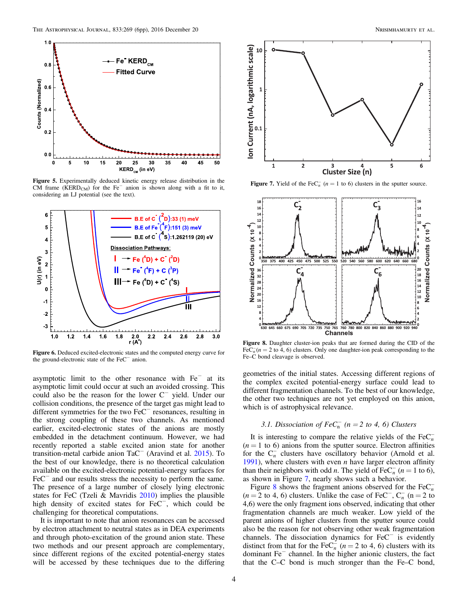

Figure 5. Experimentally deduced kinetic energy release distribution in the CM frame (KERD<sub>CM</sub>) for the Fe<sup> $-$ </sup> anion is shown along with a fit to it, considering an LJ potential (see the text).



Figure 6. Deduced excited-electronic states and the computed energy curve for the ground-electronic state of the FeC<sup>−</sup> anion.

asymptotic limit to the other resonance with  $Fe^-$  at its asymptotic limit could occur at such an avoided crossing. This could also be the reason for the lower C<sup>−</sup> yield. Under our collision conditions, the presence of the target gas might lead to different symmetries for the two FeC<sup>−</sup> resonances, resulting in the strong coupling of these two channels. As mentioned earlier, excited-electronic states of the anions are mostly embedded in the detachment continuum. However, we had recently reported a stable excited anion state for another transition-metal carbide anion TaC<sup>−</sup> (Aravind et al. 2015). To the best of our knowledge, there is no theoretical calculation available on the excited-electronic potential-energy surfaces for FeC<sup>−</sup> and our results stress the necessity to perform the same. The presence of a large number of closely lying electronic states for FeC (Tzeli & Mavridis 2010) implies the plausible high density of excited states for FeC<sup>−</sup>, which could be challenging for theoretical computations.

It is important to note that anion resonances can be accessed by electron attachment to neutral states as in DEA experiments and through photo-excitation of the ground anion state. These two methods and our present approach are complementary, since different regions of the excited potential-energy states will be accessed by these techniques due to the differing



**Figure 7.** Yield of the FeC<sub>n</sub><sup> $n$ </sup> ( $n = 1$  to 6) clusters in the sputter source.



Figure 8. Daughter cluster-ion peaks that are formed during the CID of the FeC $_n^-$ ( $n = 2$  to 4, 6) clusters. Only one daughter-ion peak corresponding to the Fe–C bond cleavage is observed.

geometries of the initial states. Accessing different regions of the complex excited potential-energy surface could lead to different fragmentation channels. To the best of our knowledge, the other two techniques are not yet employed on this anion, which is of astrophysical relevance.

## *3.1. Dissociation of*  $FeC_n^-$  ( $n = 2$  to 4, 6) *Clusters*

It is interesting to compare the relative yields of the  $\text{FeC}_n^ (n = 1)$  to 6) anions from the sputter source. Electron affinities for the  $C_n^-$  clusters have oscillatory behavior (Arnold et al. 1991), where clusters with even *n* have larger electron affinity than their neighbors with odd *n*. The yield of  $\text{FeC}_n^-$  (*n* = 1 to 6), as shown in Figure 7, nearly shows such a behavior.

Figure 8 shows the fragment anions observed for the  $FeC<sub>n</sub><sup>-</sup>$ ( $n = 2$  to 4, 6) clusters. Unlike the case of FeC<sup>-</sup>,  $C_n^-$  ( $n = 2$  to 4,6) were the only fragment ions observed, indicating that other fragmentation channels are much weaker. Low yield of the parent anions of higher clusters from the sputter source could also be the reason for not observing other weak fragmentation channels. The dissociation dynamics for FeC<sup>−</sup> is evidently distinct from that for the FeC<sub>n</sub><sup>i</sup> ( $n = 2$  to 4, 6) clusters with its dominant  $Fe<sup>-</sup>$  channel. In the higher anionic clusters, the fact that the C–C bond is much stronger than the Fe–C bond,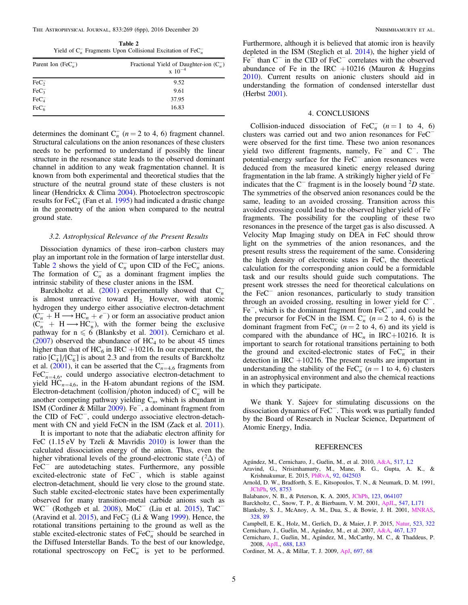The Astrophysical Journal, 833:269 (6pp), 2016 December 20 Nrisimhamurty et al.

Table 2 Yield of  $C_n^-$  Fragments Upon Collisional Excitation of  $\text{FeC}_n^-$ 

| Parent Ion (FeC <sub>n</sub> )       | Fractional Yield of Daughter-ion $(C_n^-)$<br>$\rm x\;10^{-4}$ |  |
|--------------------------------------|----------------------------------------------------------------|--|
| $\text{FeC}_2^-$                     | 9.52                                                           |  |
| $\text{FeC}_3^-$                     | 9.61                                                           |  |
| $\text{FeC}_4^-$<br>FeC <sub>6</sub> | 37.95                                                          |  |
|                                      | 16.83                                                          |  |

determines the dominant  $C_n^-$  ( $n = 2$  to 4, 6) fragment channel. Structural calculations on the anion resonances of these clusters needs to be performed to understand if possibly the linear structure in the resonance state leads to the observed dominant channel in addition to any weak fragmentation channel. It is known from both experimental and theoretical studies that the structure of the neutral ground state of these clusters is not linear (Hendrickx & Clima 2004). Photoelectron spectroscopic results for  $\text{FeC}_4^-$  (Fan et al. 1995) had indicated a drastic change in the geometry of the anion when compared to the neutral ground state.

### *3.2. Astrophysical Relevance of the Present Results*

Dissociation dynamics of these iron–carbon clusters may play an important role in the formation of large interstellar dust. Table 2 shows the yield of  $C_n^-$  upon CID of the Fe $C_n^-$  anions. The formation of  $C_n^-$  as a dominant fragment implies the intrinsic stability of these cluster anions in the ISM.

Barckholtz et al. (2001) experimentally showed that  $C_n^$ is almost unreactive toward H<sub>2.</sub> However, with atomic hydrogen they undergo either associative electron-detachment  $(C_n^- + H \longrightarrow HC_n + e^-)$  or form an associative product anion  $(C_n^+ + H \longrightarrow H.C_n^-)$ , with the former being the exclusive pathway for  $n \le 6$  (Blanksby et al. 2001). Cernicharo et al.  $(2007)$  observed the abundance of HC<sub>4</sub> to be about 45 times higher than that of  $HC_6$  in IRC +10216. In our experiment, the ratio  $[C_4]/[C_6]$  is about 2.3 and from the results of Barckholtz et al.  $(2001)$ , it can be asserted that the C<sub>n=4,6</sub> fragments from  $\text{FeC}_{n=4,6}^-$ , could undergo associative electron-detachment to yield  $HC_{n=4,6}$ , in the H-atom abundant regions of the ISM. Electron-detachment (collision/photon induced) of  $C_n^-$  will be another competing pathway yielding  $C_n$ , which is abundant in ISM (Cordiner & Millar 2009). Fe<sup>−</sup> , a dominant fragment from the CID of FeC<sup>−</sup>, could undergo associative electron-detachment with CN and yield FeCN in the ISM (Zack et al. 2011).

It is important to note that the adiabatic electron affinity for FeC (1.15 eV by Tzeli & Mavridis 2010) is lower than the calculated dissociation energy of the anion. Thus, even the higher vibrational levels of the ground-electronic state  $(^{2}\Delta)$  of FeC $^-$  are autodetaching states. Furthermore, any possible excited-electronic state of FeC<sup>−</sup>, which is stable against electron-detachment, should lie very close to the ground state. Such stable excited-electronic states have been experimentally observed for many transition-metal carbide anions such as WC<sup>−</sup> (Rothgeb et al. 2008), MoC<sup>−</sup> (Liu et al. 2015), TaC<sup>−</sup> (Aravind et al. 2015), and  $\text{FeC}_2^-$  (Li & Wang 1999). Hence, the rotational transitions pertaining to the ground as well as the stable excited-electronic states of  $\text{FeC}_n^-$  should be searched in the Diffused Interstellar Bands. To the best of our knowledge, rotational spectroscopy on  $\text{FeC}_n^-$  is yet to be performed.

Furthermore, although it is believed that atomic iron is heavily depleted in the ISM (Steglich et al. 2014), the higher yield of Fe<sup>−</sup> than C<sup>−</sup> in the CID of FeC<sup>−</sup> correlates with the observed abundance of Fe in the IRC  $+10216$  (Mauron & Huggins 2010). Current results on anionic clusters should aid in understanding the formation of condensed interstellar dust (Herbst 2001).

## 4. CONCLUSIONS

Collision-induced dissociation of  $\text{FeC}_n^-$  ( $n = 1$  to 4, 6) clusters was carried out and two anion resonances for FeC<sup>−</sup> were observed for the first time. These two anion resonances yield two different fragments, namely, Fe<sup>−</sup> and C<sup>−</sup>. The potential-energy surface for the FeC<sup>−</sup> anion resonances were deduced from the measured kinetic energy released during fragmentation in the lab frame. A strikingly higher yield of Fe<sup>−</sup> indicates that the C<sup>−</sup> fragment is in the loosely bound <sup>2</sup>*D* state. The symmetries of the observed anion resonances could be the same, leading to an avoided crossing. Transition across this avoided crossing could lead to the observed higher yield of Fe<sup>−</sup> fragments. The possibility for the coupling of these two resonances in the presence of the target gas is also discussed. A Velocity Map Imaging study on DEA in FeC should throw light on the symmetries of the anion resonances, and the present results stress the requirement of the same. Considering the high density of electronic states in FeC, the theoretical calculation for the corresponding anion could be a formidable task and our results should guide such computations. The present work stresses the need for theoretical calculations on the FeC<sup>−</sup> anion resonances, particularly to study transition through an avoided crossing, resulting in lower yield for C<sup>−</sup> . Fe<sup>−</sup> , which is the dominant fragment from FeC<sup>−</sup> , and could be the precursor for FeCN in the ISM.  $C_n^-$  ( $n = 2$  to 4, 6) is the dominant fragment from FeC<sub>n</sub>  $(n = 2 \text{ to } 4, 6)$  and its yield is compared with the abundance of  $HC_n$  in  $IRC+10216$ . It is important to search for rotational transitions pertaining to both the ground and excited-electronic states of  $\text{FeC}_n$  in their detection in IRC  $+10216$ . The present results are important in understanding the stability of the FeC<sub>n</sub> ( $n = 1$  to 4, 6) clusters in an astrophysical environment and also the chemical reactions in which they participate.

We thank Y. Sajeev for stimulating discussions on the dissociation dynamics of FeC<sup>−</sup> . This work was partially funded by the Board of Research in Nuclear Science, Department of Atomic Energy, India.

#### REFERENCES

- Agúndez, M., Cernicharo, J., Guélin, M., et al. 2010, A&A, 517, L2
- Aravind, G., Nrisimhamurty, M., Mane, R. G., Gupta, A. K., & Krishnakumar, E. 2015, PhRvA, 92, 042503
- Arnold, D. W., Bradforth, S. E., Kitsopoulos, T. N., & Neumark, D. M. 1991, JChPh, 95, 8753
- Balabanov, N. B., & Peterson, K. A. 2005, JChPh, 123, 064107
- Barckholtz, C., Snow, T. P., & Bierbaum, V. M. 2001, ApJL, 547, L171
- Blanksby, S. J., McAnoy, A. M., Dua, S., & Bowie, J. H. 2001, MNRAS, 328, 89
- Campbell, E. K., Holz, M., Gerlich, D., & Maier, J. P. 2015, Natur, 523, 322
- Cernicharo, J., Guélin, M., Agúndez, M., et al. 2007, A&A, 467, L37
- Cernicharo, J., Guélin, M., Agúndez, M., McCarthy, M. C., & Thaddeus, P. 2008, ApJL, 688, L83
- Cordiner, M. A., & Millar, T. J. 2009, ApJ, 697, 68